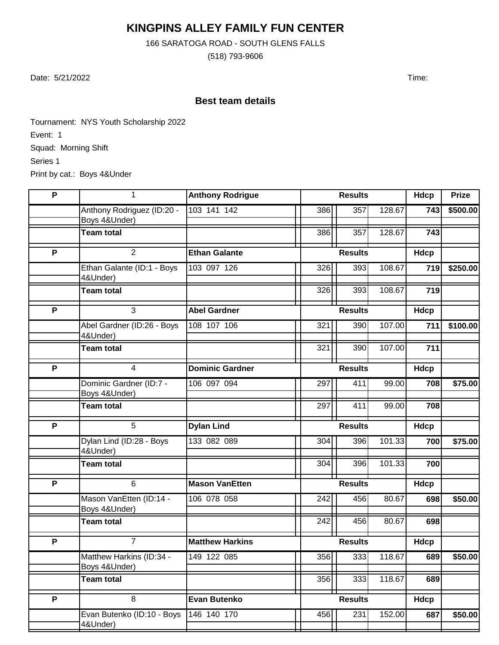## **KINGPINS ALLEY FAMILY FUN CENTER**

166 SARATOGA ROAD - SOUTH GLENS FALLS

(518) 793-9606

Date: 5/21/2022 Time:

## **Best team details**

Tournament: NYS Youth Scholarship 2022 Event: 1 Squad: Morning Shift Series 1 Print by cat.: Boys 4&Under

| P              | 1                                         | <b>Anthony Rodrigue</b> | <b>Results</b>   |                |        | Hdcp        | <b>Prize</b> |
|----------------|-------------------------------------------|-------------------------|------------------|----------------|--------|-------------|--------------|
|                | Anthony Rodriguez (ID:20 -                | 103 141 142             | 386              | 357            | 128.67 | 743         | \$500.00     |
|                | Boys 4&Under)<br><b>Team total</b>        |                         | 386              | 357            | 128.67 | 743         |              |
|                |                                           |                         |                  |                |        |             |              |
| $\overline{P}$ | $\overline{2}$                            | <b>Ethan Galante</b>    |                  | <b>Results</b> |        | <b>Hdcp</b> |              |
|                | Ethan Galante (ID:1 - Boys<br>4&Under)    | 103 097 126             | 326              | 393            | 108.67 | 719         | \$250.00     |
|                | <b>Team total</b>                         |                         | 326              | 393            | 108.67 | 719         |              |
| $\overline{P}$ | $\overline{3}$                            | <b>Abel Gardner</b>     |                  | <b>Results</b> |        | Hdcp        |              |
|                | Abel Gardner (ID:26 - Boys<br>4&Under)    | 108 107 106             | 321              | 390            | 107.00 | 711         | \$100.00     |
|                | <b>Team total</b>                         |                         | 321              | 390            | 107.00 | 711         |              |
| P              | $\overline{4}$                            | <b>Dominic Gardner</b>  |                  | <b>Results</b> |        | Hdcp        |              |
|                | Dominic Gardner (ID:7 -<br>Boys 4&Under)  | 106 097 094             | 297              | 411            | 99.00  | 708         | \$75.00      |
|                | <b>Team total</b>                         |                         | 297              | 411            | 99.00  | 708         |              |
| $\overline{P}$ | $\overline{5}$                            | <b>Dylan Lind</b>       |                  | <b>Results</b> |        | <b>Hdcp</b> |              |
|                | Dylan Lind (ID:28 - Boys<br>4&Under)      | 133 082 089             | 304              | 396            | 101.33 | 700         | \$75.00      |
|                | <b>Team total</b>                         |                         | 304              | 396            | 101.33 | 700         |              |
| P              | 6                                         | <b>Mason VanEtten</b>   |                  | <b>Results</b> |        | Hdcp        |              |
|                | Mason VanEtten (ID:14 -<br>Boys 4&Under)  | 106 078 058             | 242              | 456            | 80.67  | 698         | \$50.00      |
|                | <b>Team total</b>                         |                         | 242              | 456            | 80.67  | 698         |              |
| P              | $\overline{7}$                            | <b>Matthew Harkins</b>  |                  | <b>Results</b> |        | Hdcp        |              |
|                | Matthew Harkins (ID:34 -<br>Boys 4&Under) | 149 122 085             | 356              | 333            | 118.67 | 689         | \$50.00      |
|                | <b>Team total</b>                         |                         | $\overline{3}56$ | 333            | 118.67 | 689         |              |
| P              | 8                                         | <b>Evan Butenko</b>     |                  | <b>Results</b> |        | <b>Hdcp</b> |              |
|                | Evan Butenko (ID:10 - Boys<br>4&Under)    | 146 140 170             | 456              | 231            | 152.00 | 687         | \$50.00      |
|                |                                           |                         |                  |                |        |             |              |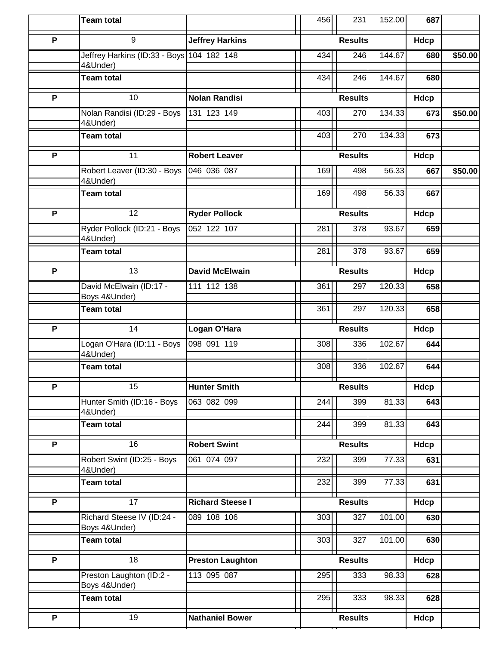|                | <b>Team total</b>                                     |                         | 456            | 231            | 152.00      | 687  |         |
|----------------|-------------------------------------------------------|-------------------------|----------------|----------------|-------------|------|---------|
| $\overline{P}$ | 9                                                     | <b>Jeffrey Harkins</b>  | <b>Results</b> |                |             | Hdcp |         |
|                | Jeffrey Harkins (ID:33 - Boys 104 182 148<br>4&Under) |                         | 434            | 246            | 144.67      | 680  | \$50.00 |
|                | <b>Team total</b>                                     |                         | 434            | 246            | 144.67      | 680  |         |
| P              | 10                                                    | <b>Nolan Randisi</b>    | <b>Results</b> |                |             | Hdcp |         |
|                | Nolan Randisi (ID:29 - Boys<br>4&Under)               | 131 123 149             | 403            | 270            | 134.33      | 673  | \$50.00 |
|                | <b>Team total</b>                                     |                         | 403            | 270            | 134.33      | 673  |         |
| $\overline{P}$ | $\overline{11}$                                       | <b>Robert Leaver</b>    | <b>Results</b> |                | Hdcp        |      |         |
|                | Robert Leaver (ID:30 - Boys<br>4&Under)               | 046 036 087             | 169            | 498            | 56.33       | 667  | \$50.00 |
|                | <b>Team total</b>                                     |                         | 169            | 498            | 56.33       | 667  |         |
| P              | 12                                                    | <b>Ryder Pollock</b>    |                | <b>Results</b> |             | Hdcp |         |
|                | Ryder Pollock (ID:21 - Boys<br>4&Under)               | 052 122 107             | 281            | 378            | 93.67       | 659  |         |
|                | Team total                                            |                         | 281            | 378            | 93.67       | 659  |         |
| P              | 13                                                    | <b>David McElwain</b>   | <b>Results</b> |                | <b>Hdcp</b> |      |         |
|                | David McElwain (ID:17 -                               | 111 112 138             | 361            | 297            | 120.33      | 658  |         |
|                | Boys 4&Under)<br>Team total                           |                         | 361            | 297            | 120.33      | 658  |         |
| P              | 14                                                    | Logan O'Hara            | <b>Results</b> |                | Hdcp        |      |         |
|                | Logan O'Hara (ID:11 - Boys                            | 098 091 119             | 308            | 336            | 102.67      | 644  |         |
|                | 4&Under)                                              |                         |                |                |             |      |         |
|                | <b>Team total</b>                                     |                         | 308            | 336            | 102.67      | 644  |         |
| $\mathsf{P}$   | 15                                                    | <b>Hunter Smith</b>     | <b>Results</b> |                | Hdcp        |      |         |
|                | Hunter Smith (ID:16 - Boys<br>4&Under)                | 063 082 099             | 244            | 399            | 81.33       | 643  |         |
|                | <b>Team total</b>                                     |                         | 244            | 399            | 81.33       | 643  |         |
| $\overline{P}$ | $\overline{16}$                                       | <b>Robert Swint</b>     |                | <b>Results</b> |             | Hdcp |         |
|                | Robert Swint (ID:25 - Boys<br>4&Under)                | 061 074 097             | 232            | 399            | 77.33       | 631  |         |
|                | <b>Team total</b>                                     |                         | 232            | 399            | 77.33       | 631  |         |
| $\overline{P}$ | $\overline{17}$                                       | <b>Richard Steese I</b> | <b>Results</b> |                | Hdcp        |      |         |
|                | Richard Steese IV (ID:24 -<br>Boys 4&Under)           | 089 108 106             | 303            | 327            | 101.00      | 630  |         |
|                | <b>Team total</b>                                     |                         | 303            | 327            | 101.00      | 630  |         |
| P              | 18                                                    | <b>Preston Laughton</b> | <b>Results</b> |                |             | Hdcp |         |
|                | Preston Laughton (ID:2 -<br>Boys 4&Under)             | 113 095 087             | 295            | 333            | 98.33       | 628  |         |
|                | <b>Team total</b>                                     |                         | 295            | 333            | 98.33       | 628  |         |
| P              | 19                                                    | <b>Nathaniel Bower</b>  | <b>Results</b> |                | Hdcp        |      |         |